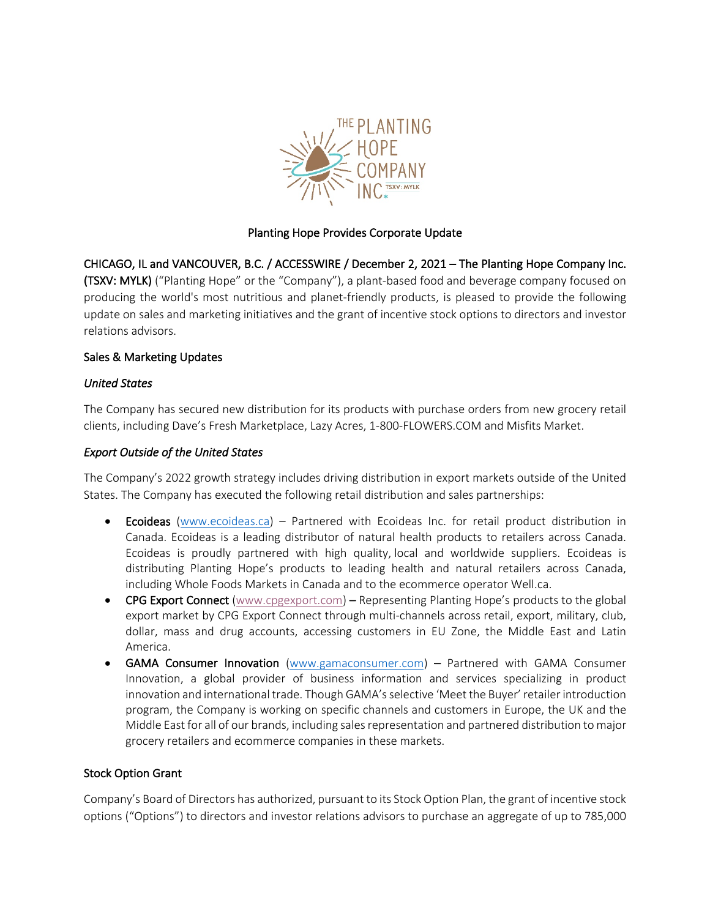

# Planting Hope Provides Corporate Update

CHICAGO, IL and VANCOUVER, B.C. / ACCESSWIRE / December 2, 2021 – The Planting Hope Company Inc. (TSXV: MYLK) ("Planting Hope" or the "Company"), a plant-based food and beverage company focused on producing the world's most nutritious and planet-friendly products, is pleased to provide the following update on sales and marketing initiatives and the grant of incentive stock options to directors and investor relations advisors.

# Sales & Marketing Updates

# *United States*

The Company has secured new distribution for its products with purchase orders from new grocery retail clients, including Dave's Fresh Marketplace, Lazy Acres, 1-800-FLOWERS.COM and Misfits Market.

# *Export Outside of the United States*

The Company's 2022 growth strategy includes driving distribution in export markets outside of the United States. The Company has executed the following retail distribution and sales partnerships:

- Ecoideas (www.ecoideas.ca) Partnered with Ecoideas Inc. for retail product distribution in Canada. Ecoideas is a leading distributor of natural health products to retailers across Canada. Ecoideas is proudly partnered with high quality, local and worldwide suppliers. Ecoideas is distributing Planting Hope's products to leading health and natural retailers across Canada, including Whole Foods Markets in Canada and to the ecommerce operator Well.ca.
- CPG Export Connect (www.cpgexport.com) Representing Planting Hope's products to the global export market by CPG Export Connect through multi-channels across retail, export, military, club, dollar, mass and drug accounts, accessing customers in EU Zone, the Middle East and Latin America.
- GAMA Consumer Innovation (www.gamaconsumer.com) Partnered with GAMA Consumer Innovation, a global provider of business information and services specializing in product innovation and international trade. Though GAMA's selective 'Meet the Buyer' retailer introduction program, the Company is working on specific channels and customers in Europe, the UK and the Middle East for all of our brands, including sales representation and partnered distribution to major grocery retailers and ecommerce companies in these markets.

### Stock Option Grant

Company's Board of Directors has authorized, pursuant to its Stock Option Plan, the grant of incentive stock options ("Options") to directors and investor relations advisors to purchase an aggregate of up to 785,000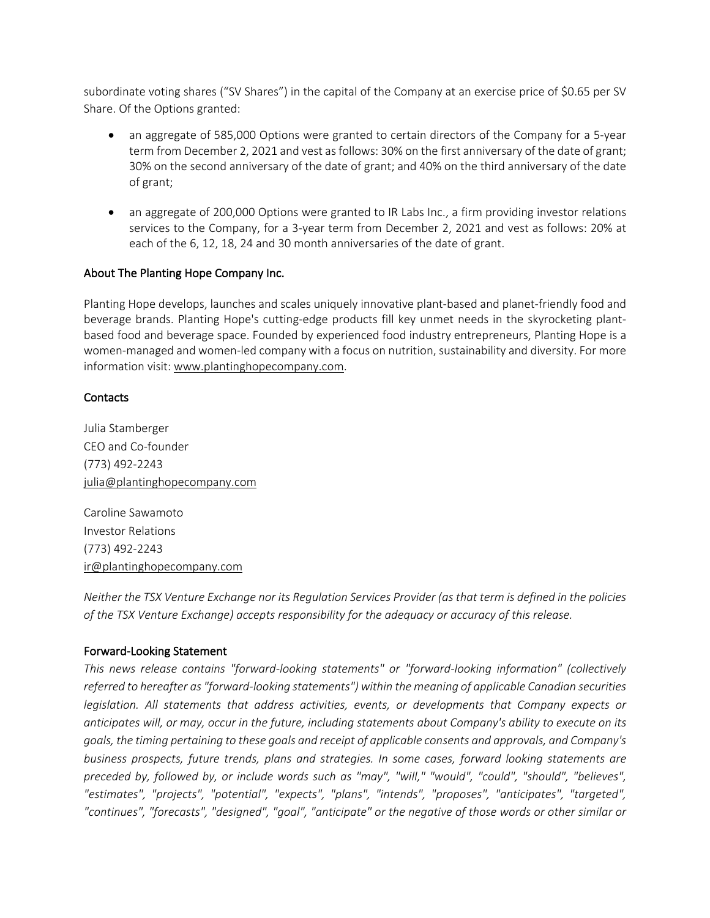subordinate voting shares ("SV Shares") in the capital of the Company at an exercise price of \$0.65 per SV Share. Of the Options granted:

- an aggregate of 585,000 Options were granted to certain directors of the Company for a 5-year term from December 2, 2021 and vest as follows: 30% on the first anniversary of the date of grant; 30% on the second anniversary of the date of grant; and 40% on the third anniversary of the date of grant;
- an aggregate of 200,000 Options were granted to IR Labs Inc., a firm providing investor relations services to the Company, for a 3-year term from December 2, 2021 and vest as follows: 20% at each of the 6, 12, 18, 24 and 30 month anniversaries of the date of grant.

# About The Planting Hope Company Inc.

Planting Hope develops, launches and scales uniquely innovative plant-based and planet-friendly food and beverage brands. Planting Hope's cutting-edge products fill key unmet needs in the skyrocketing plantbased food and beverage space. Founded by experienced food industry entrepreneurs, Planting Hope is a women-managed and women-led company with a focus on nutrition, sustainability and diversity. For more information visit: www.plantinghopecompany.com.

### **Contacts**

Julia Stamberger CEO and Co-founder (773) 492-2243 julia@plantinghopecompany.com

Caroline Sawamoto Investor Relations (773) 492-2243 ir@plantinghopecompany.com

*Neither the TSX Venture Exchange nor its Regulation Services Provider (as that term is defined in the policies of the TSX Venture Exchange) accepts responsibility for the adequacy or accuracy of this release.*

### Forward-Looking Statement

*This news release contains "forward-looking statements" or "forward-looking information" (collectively referred to hereafter as "forward-looking statements") within the meaning of applicable Canadian securities legislation. All statements that address activities, events, or developments that Company expects or anticipates will, or may, occur in the future, including statements about Company's ability to execute on its goals, the timing pertaining to these goals and receipt of applicable consents and approvals, and Company's business prospects, future trends, plans and strategies. In some cases, forward looking statements are preceded by, followed by, or include words such as "may", "will," "would", "could", "should", "believes", "estimates", "projects", "potential", "expects", "plans", "intends", "proposes", "anticipates", "targeted", "continues", "forecasts", "designed", "goal", "anticipate" or the negative of those words or other similar or*